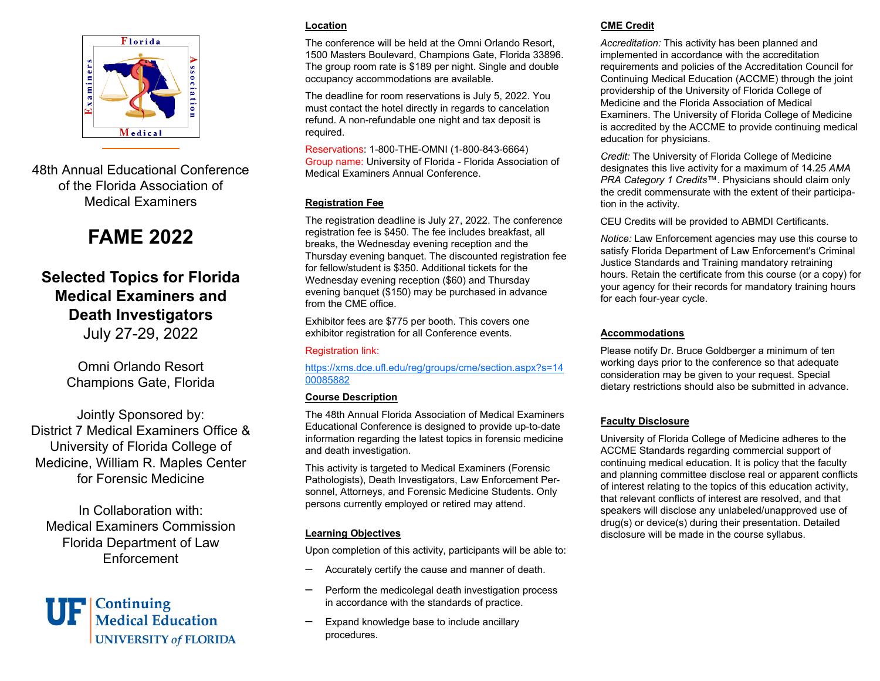

48th Annual Educational Conference of the Florida Association of Medical Examiners

# **FAME 2022**

## **Selected Topics for Florida Medical Examiners and Death Investigators**

July 27-29, 2022

Omni Orlando Resort Champions Gate, Florida

Jointly Sponsored by: District 7 Medical Examiners Office & University of Florida College of Medicine, William R. Maples Center for Forensic Medicine

In Collaboration with: Medical Examiners Commission Florida Department of Law Enforcement



## **Location**

The conference will be held at the Omni Orlando Resort, 1500 Masters Boulevard, Champions Gate, Florida 33896. The group room rate is \$189 per night. Single and double occupancy accommodations are available.

The deadline for room reservations is July 5, 2022. You must contact the hotel directly in regards to cancelation refund. A non-refundable one night and tax deposit is required.

Reservations: 1-800-THE-OMNI (1-800-843-6664) Group name: University of Florida - Florida Association of Medical Examiners Annual Conference.

## **Registration Fee**

The registration deadline is July 27, 2022. The conference registration fee is \$450. The fee includes breakfast, all breaks, the Wednesday evening reception and the Thursday evening banquet. The discounted registration fee for fellow/student is \$350. Additional tickets for the Wednesday evening reception (\$60) and Thursday evening banquet (\$150) may be purchased in advance from the CME office.

Exhibitor fees are \$775 per booth. This covers one exhibitor registration for all Conference events.

#### Registration link:

https://xms.dce.ufl.edu/reg/groups/cme/section.aspx?s=14 00085882

#### **Course Description**

The 48th Annual Florida Association of Medical Examiners Educational Conference is designed to provide up-to-date information regarding the latest topics in forensic medicine and death investigation.

This activity is targeted to Medical Examiners (Forensic Pathologists), Death Investigators, Law Enforcement Personnel, Attorneys, and Forensic Medicine Students. Only persons currently employed or retired may attend.

## **Learning Objectives**

Upon completion of this activity, participants will be able to:

- $\overline{\phantom{0}}$ Accurately certify the cause and manner of death.
- $\overline{\phantom{0}}$  Perform the medicolegal death investigation process in accordance with the standards of practice.
- —<br>— Expand knowledge base to include ancillary procedures.

## **CME Credit**

*Accreditation:* This activity has been planned and implemented in accordance with the accreditation requirements and policies of the Accreditation Council for Continuing Medical Education (ACCME) through the joint providership of the University of Florida College of Medicine and the Florida Association of Medical Examiners. The University of Florida College of Medicine is accredited by the ACCME to provide continuing medical education for physicians.

*Credit:* The University of Florida College of Medicine designates this live activity for a maximum of 14.25 *AMA PRA Category 1 Credits*™. Physicians should claim only the credit commensurate with the extent of their participation in the activity.

CEU Credits will be provided to ABMDI Certificants.

*Notice:* Law Enforcement agencies may use this course to satisfy Florida Department of Law Enforcement's Criminal Justice Standards and Training mandatory retraining hours. Retain the certificate from this course (or a copy) for your agency for their records for mandatory training hours for each four-year cycle.

## **Accommodations**

Please notify Dr. Bruce Goldberger a minimum of ten working days prior to the conference so that adequate consideration may be given to your request. Special dietary restrictions should also be submitted in advance.

## **Faculty Disclosure**

University of Florida College of Medicine adheres to the ACCME Standards regarding commercial support of continuing medical education. It is policy that the faculty and planning committee disclose real or apparent conflicts of interest relating to the topics of this education activity, that relevant conflicts of interest are resolved, and that speakers will disclose any unlabeled/unapproved use of drug(s) or device(s) during their presentation. Detailed disclosure will be made in the course syllabus.